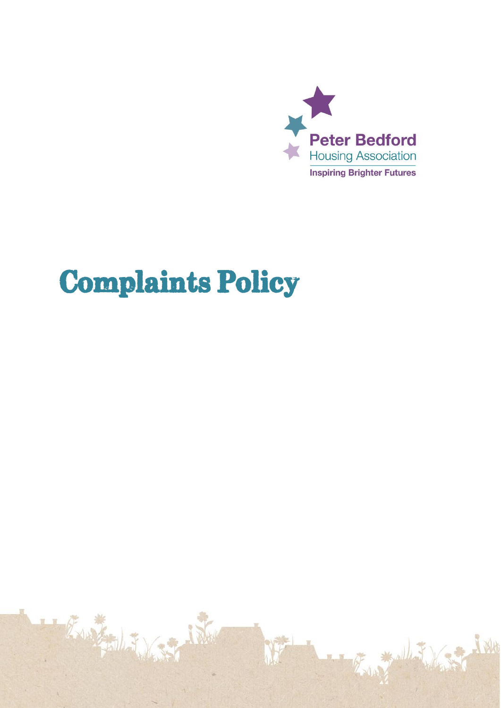

# **Complaints Policy**

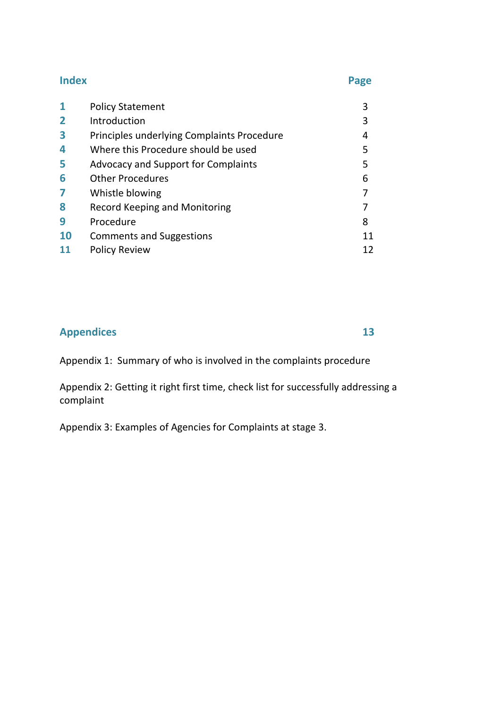#### **Index Page**

|                | <b>Policy Statement</b>                    |    |
|----------------|--------------------------------------------|----|
| $\overline{2}$ | Introduction                               | 3  |
| 3              | Principles underlying Complaints Procedure | 4  |
| 4              | Where this Procedure should be used        | 5  |
| 5              | <b>Advocacy and Support for Complaints</b> | 5  |
| 6              | <b>Other Procedures</b>                    | 6  |
| 7              | Whistle blowing                            |    |
| 8              | <b>Record Keeping and Monitoring</b>       |    |
| 9              | Procedure                                  | 8  |
| <b>10</b>      | <b>Comments and Suggestions</b>            | 11 |
|                | <b>Policy Review</b>                       | 12 |

## **Appendices 13**

Appendix 1: Summary of who is involved in the complaints procedure

Appendix 2: Getting it right first time, check list for successfully addressing a complaint

Appendix 3: Examples of Agencies for Complaints at stage 3.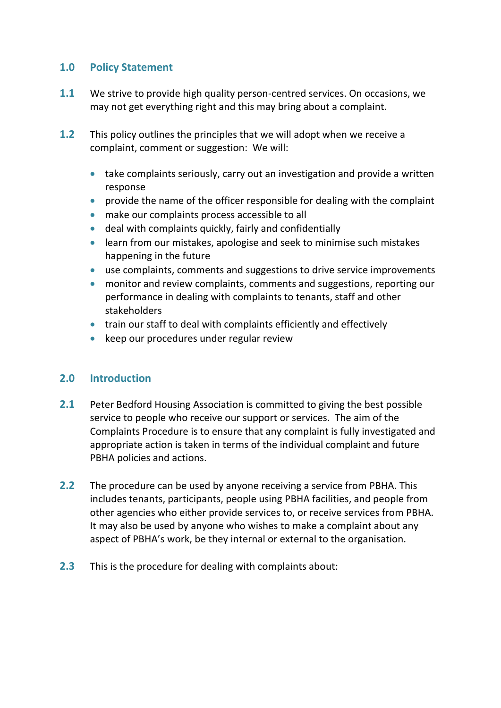#### **1.0 Policy Statement**

- **1.1** We strive to provide high quality person-centred services. On occasions, we may not get everything right and this may bring about a complaint.
- **1.2** This policy outlines the principles that we will adopt when we receive a complaint, comment or suggestion: We will:
	- take complaints seriously, carry out an investigation and provide a written response
	- provide the name of the officer responsible for dealing with the complaint
	- make our complaints process accessible to all
	- deal with complaints quickly, fairly and confidentially
	- learn from our mistakes, apologise and seek to minimise such mistakes happening in the future
	- use complaints, comments and suggestions to drive service improvements
	- monitor and review complaints, comments and suggestions, reporting our performance in dealing with complaints to tenants, staff and other stakeholders
	- train our staff to deal with complaints efficiently and effectively
	- keep our procedures under regular review

#### **2.0 Introduction**

- **2.1** Peter Bedford Housing Association is committed to giving the best possible service to people who receive our support or services. The aim of the Complaints Procedure is to ensure that any complaint is fully investigated and appropriate action is taken in terms of the individual complaint and future PBHA policies and actions.
- **2.2** The procedure can be used by anyone receiving a service from PBHA. This includes tenants, participants, people using PBHA facilities, and people from other agencies who either provide services to, or receive services from PBHA. It may also be used by anyone who wishes to make a complaint about any aspect of PBHA's work, be they internal or external to the organisation.
- **2.3** This is the procedure for dealing with complaints about: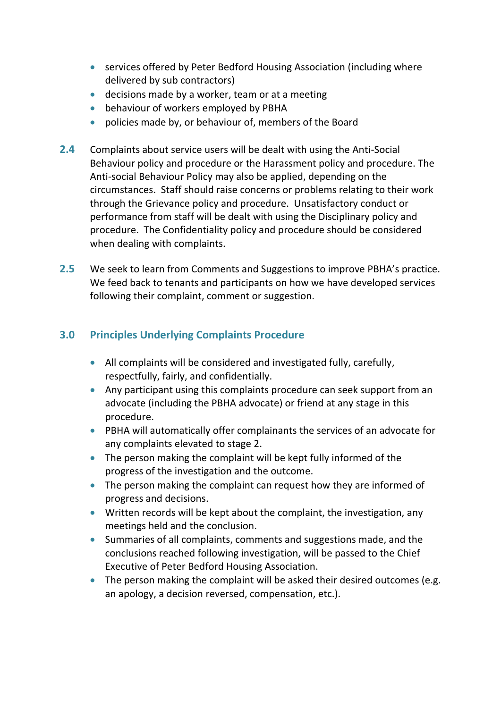- services offered by Peter Bedford Housing Association (including where delivered by sub contractors)
- decisions made by a worker, team or at a meeting
- behaviour of workers employed by PBHA
- policies made by, or behaviour of, members of the Board
- **2.4** Complaints about service users will be dealt with using the Anti-Social Behaviour policy and procedure or the Harassment policy and procedure. The Anti-social Behaviour Policy may also be applied, depending on the circumstances. Staff should raise concerns or problems relating to their work through the Grievance policy and procedure. Unsatisfactory conduct or performance from staff will be dealt with using the Disciplinary policy and procedure. The Confidentiality policy and procedure should be considered when dealing with complaints.
- **2.5** We seek to learn from Comments and Suggestions to improve PBHA's practice. We feed back to tenants and participants on how we have developed services following their complaint, comment or suggestion.

#### **3.0 Principles Underlying Complaints Procedure**

- All complaints will be considered and investigated fully, carefully, respectfully, fairly, and confidentially.
- Any participant using this complaints procedure can seek support from an advocate (including the PBHA advocate) or friend at any stage in this procedure.
- PBHA will automatically offer complainants the services of an advocate for any complaints elevated to stage 2.
- The person making the complaint will be kept fully informed of the progress of the investigation and the outcome.
- The person making the complaint can request how they are informed of progress and decisions.
- Written records will be kept about the complaint, the investigation, any meetings held and the conclusion.
- Summaries of all complaints, comments and suggestions made, and the conclusions reached following investigation, will be passed to the Chief Executive of Peter Bedford Housing Association.
- The person making the complaint will be asked their desired outcomes (e.g. an apology, a decision reversed, compensation, etc.).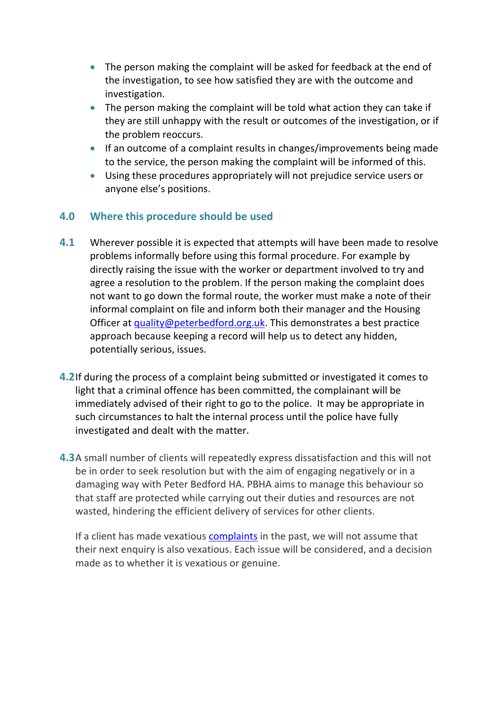- The person making the complaint will be asked for feedback at the end of the investigation, to see how satisfied they are with the outcome and investigation.
- The person making the complaint will be told what action they can take if they are still unhappy with the result or outcomes of the investigation, or if the problem reoccurs.
- If an outcome of a complaint results in changes/improvements being made to the service, the person making the complaint will be informed of this.
- Using these procedures appropriately will not prejudice service users or anyone else's positions.

#### **4.0 Where this procedure should be used**

- **4.1** Wherever possible it is expected that attempts will have been made to resolve problems informally before using this formal procedure. For example by directly raising the issue with the worker or department involved to try and agree a resolution to the problem. If the person making the complaint does not want to go down the formal route, the worker must make a note of their informal complaint on file and inform both their manager and the Housing Officer at [quality@peterbedford.org.uk.](mailto:quality@peterbedford.org.uk) This demonstrates a best practice approach because keeping a record will help us to detect any hidden, potentially serious, issues.
- **4.2**If during the process of a complaint being submitted or investigated it comes to light that a criminal offence has been committed, the complainant will be immediately advised of their right to go to the police. It may be appropriate in such circumstances to halt the internal process until the police have fully investigated and dealt with the matter.
- **4.3**A small number of clients will repeatedly express dissatisfaction and this will not be in order to seek resolution but with the aim of engaging negatively or in a damaging way with Peter Bedford HA. PBHA aims to manage this behaviour so that staff are protected while carrying out their duties and resources are not wasted, hindering the efficient delivery of services for other clients.

If a client has made vexatious [complaints](https://www.adactushousing.co.uk/Information?t=46;d=213) in the past, we will not assume that their next enquiry is also vexatious. Each issue will be considered, and a decision made as to whether it is vexatious or genuine.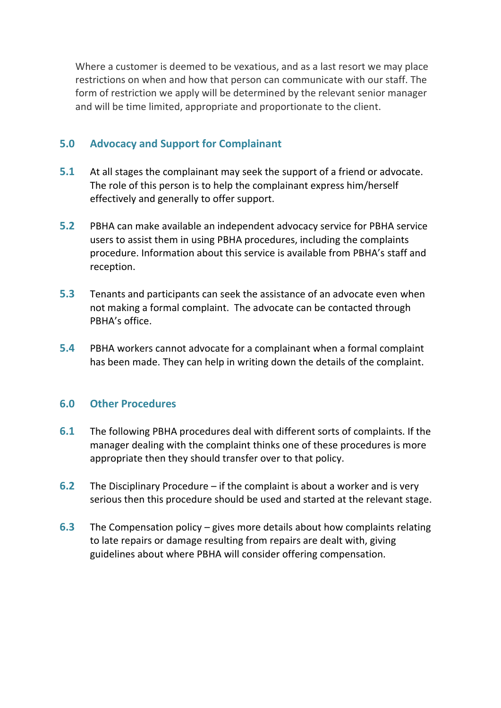Where a customer is deemed to be vexatious, and as a last resort we may place restrictions on when and how that person can communicate with our staff. The form of restriction we apply will be determined by the relevant senior manager and will be time limited, appropriate and proportionate to the client.

#### **5.0 Advocacy and Support for Complainant**

- **5.1** At all stages the complainant may seek the support of a friend or advocate. The role of this person is to help the complainant express him/herself effectively and generally to offer support.
- **5.2** PBHA can make available an independent advocacy service for PBHA service users to assist them in using PBHA procedures, including the complaints procedure. Information about this service is available from PBHA's staff and reception.
- **5.3** Tenants and participants can seek the assistance of an advocate even when not making a formal complaint. The advocate can be contacted through PBHA's office.
- **5.4** PBHA workers cannot advocate for a complainant when a formal complaint has been made. They can help in writing down the details of the complaint.

#### **6.0 Other Procedures**

- **6.1** The following PBHA procedures deal with different sorts of complaints. If the manager dealing with the complaint thinks one of these procedures is more appropriate then they should transfer over to that policy.
- **6.2** The Disciplinary Procedure if the complaint is about a worker and is very serious then this procedure should be used and started at the relevant stage.
- **6.3** The Compensation policy gives more details about how complaints relating to late repairs or damage resulting from repairs are dealt with, giving guidelines about where PBHA will consider offering compensation.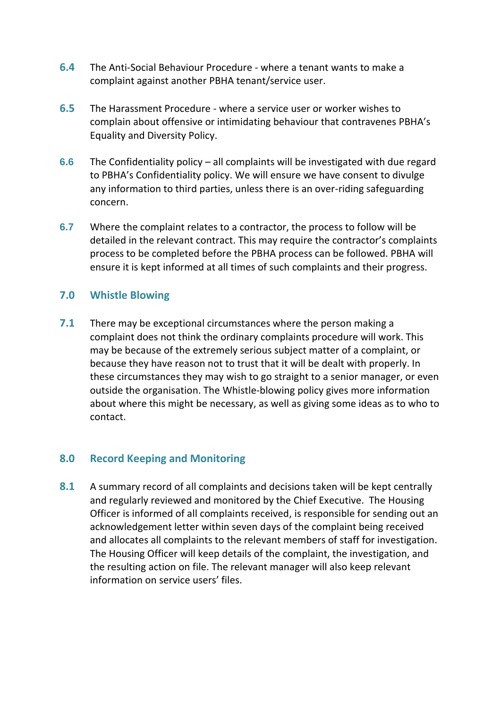- **6.4** The Anti-Social Behaviour Procedure where a tenant wants to make a complaint against another PBHA tenant/service user.
- **6.5** The Harassment Procedure where a service user or worker wishes to complain about offensive or intimidating behaviour that contravenes PBHA's Equality and Diversity Policy.
- **6.6** The Confidentiality policy all complaints will be investigated with due regard to PBHA's Confidentiality policy. We will ensure we have consent to divulge any information to third parties, unless there is an over-riding safeguarding concern.
- **6.7** Where the complaint relates to a contractor, the process to follow will be detailed in the relevant contract. This may require the contractor's complaints process to be completed before the PBHA process can be followed. PBHA will ensure it is kept informed at all times of such complaints and their progress.

#### **7.0 Whistle Blowing**

**7.1** There may be exceptional circumstances where the person making a complaint does not think the ordinary complaints procedure will work. This may be because of the extremely serious subject matter of a complaint, or because they have reason not to trust that it will be dealt with properly. In these circumstances they may wish to go straight to a senior manager, or even outside the organisation. The Whistle-blowing policy gives more information about where this might be necessary, as well as giving some ideas as to who to contact.

#### **8.0 Record Keeping and Monitoring**

**8.1** A summary record of all complaints and decisions taken will be kept centrally and regularly reviewed and monitored by the Chief Executive. The Housing Officer is informed of all complaints received, is responsible for sending out an acknowledgement letter within seven days of the complaint being received and allocates all complaints to the relevant members of staff for investigation. The Housing Officer will keep details of the complaint, the investigation, and the resulting action on file. The relevant manager will also keep relevant information on service users' files.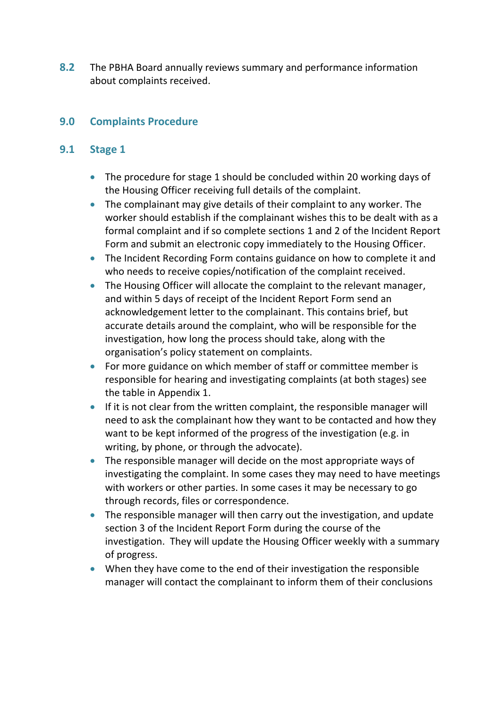**8.2** The PBHA Board annually reviews summary and performance information about complaints received.

#### **9.0 Complaints Procedure**

#### **9.1 Stage 1**

- The procedure for stage 1 should be concluded within 20 working days of the Housing Officer receiving full details of the complaint.
- The complainant may give details of their complaint to any worker. The worker should establish if the complainant wishes this to be dealt with as a formal complaint and if so complete sections 1 and 2 of the Incident Report Form and submit an electronic copy immediately to the Housing Officer.
- The Incident Recording Form contains guidance on how to complete it and who needs to receive copies/notification of the complaint received.
- The Housing Officer will allocate the complaint to the relevant manager, and within 5 days of receipt of the Incident Report Form send an acknowledgement letter to the complainant. This contains brief, but accurate details around the complaint, who will be responsible for the investigation, how long the process should take, along with the organisation's policy statement on complaints.
- For more guidance on which member of staff or committee member is responsible for hearing and investigating complaints (at both stages) see the table in Appendix 1.
- If it is not clear from the written complaint, the responsible manager will need to ask the complainant how they want to be contacted and how they want to be kept informed of the progress of the investigation (e.g. in writing, by phone, or through the advocate).
- The responsible manager will decide on the most appropriate ways of investigating the complaint. In some cases they may need to have meetings with workers or other parties. In some cases it may be necessary to go through records, files or correspondence.
- The responsible manager will then carry out the investigation, and update section 3 of the Incident Report Form during the course of the investigation. They will update the Housing Officer weekly with a summary of progress.
- When they have come to the end of their investigation the responsible manager will contact the complainant to inform them of their conclusions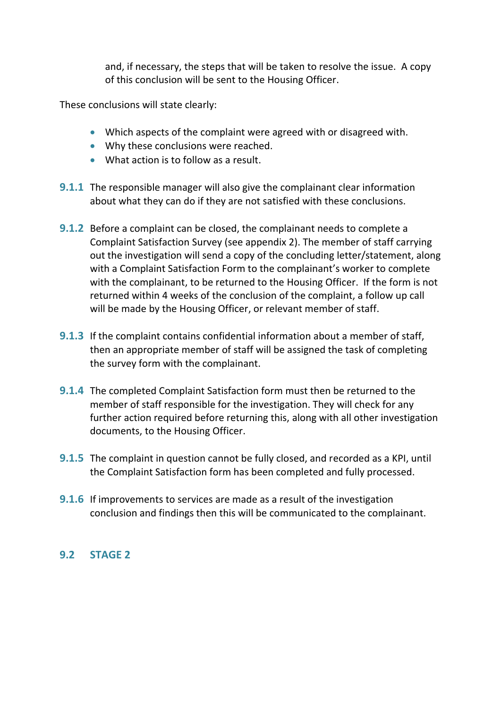and, if necessary, the steps that will be taken to resolve the issue. A copy of this conclusion will be sent to the Housing Officer.

These conclusions will state clearly:

- Which aspects of the complaint were agreed with or disagreed with.
- Why these conclusions were reached.
- What action is to follow as a result.
- **9.1.1** The responsible manager will also give the complainant clear information about what they can do if they are not satisfied with these conclusions.
- **9.1.2** Before a complaint can be closed, the complainant needs to complete a Complaint Satisfaction Survey (see appendix 2). The member of staff carrying out the investigation will send a copy of the concluding letter/statement, along with a Complaint Satisfaction Form to the complainant's worker to complete with the complainant, to be returned to the Housing Officer. If the form is not returned within 4 weeks of the conclusion of the complaint, a follow up call will be made by the Housing Officer, or relevant member of staff.
- **9.1.3** If the complaint contains confidential information about a member of staff, then an appropriate member of staff will be assigned the task of completing the survey form with the complainant.
- **9.1.4** The completed Complaint Satisfaction form must then be returned to the member of staff responsible for the investigation. They will check for any further action required before returning this, along with all other investigation documents, to the Housing Officer.
- **9.1.5** The complaint in question cannot be fully closed, and recorded as a KPI, until the Complaint Satisfaction form has been completed and fully processed.
- **9.1.6** If improvements to services are made as a result of the investigation conclusion and findings then this will be communicated to the complainant.

### **9.2 STAGE 2**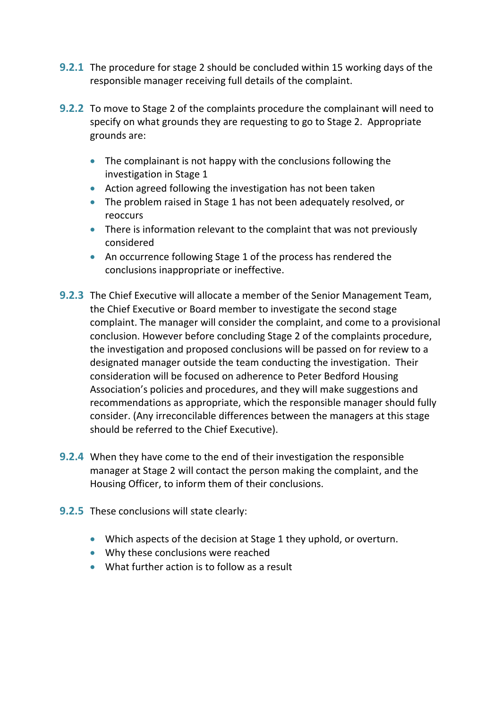- **9.2.1** The procedure for stage 2 should be concluded within 15 working days of the responsible manager receiving full details of the complaint.
- **9.2.2** To move to Stage 2 of the complaints procedure the complainant will need to specify on what grounds they are requesting to go to Stage 2. Appropriate grounds are:
	- The complainant is not happy with the conclusions following the investigation in Stage 1
	- Action agreed following the investigation has not been taken
	- The problem raised in Stage 1 has not been adequately resolved, or reoccurs
	- There is information relevant to the complaint that was not previously considered
	- An occurrence following Stage 1 of the process has rendered the conclusions inappropriate or ineffective.
- **9.2.3** The Chief Executive will allocate a member of the Senior Management Team, the Chief Executive or Board member to investigate the second stage complaint. The manager will consider the complaint, and come to a provisional conclusion. However before concluding Stage 2 of the complaints procedure, the investigation and proposed conclusions will be passed on for review to a designated manager outside the team conducting the investigation. Their consideration will be focused on adherence to Peter Bedford Housing Association's policies and procedures, and they will make suggestions and recommendations as appropriate, which the responsible manager should fully consider. (Any irreconcilable differences between the managers at this stage should be referred to the Chief Executive).
- **9.2.4** When they have come to the end of their investigation the responsible manager at Stage 2 will contact the person making the complaint, and the Housing Officer, to inform them of their conclusions.
- **9.2.5** These conclusions will state clearly:
	- Which aspects of the decision at Stage 1 they uphold, or overturn.
	- Why these conclusions were reached
	- What further action is to follow as a result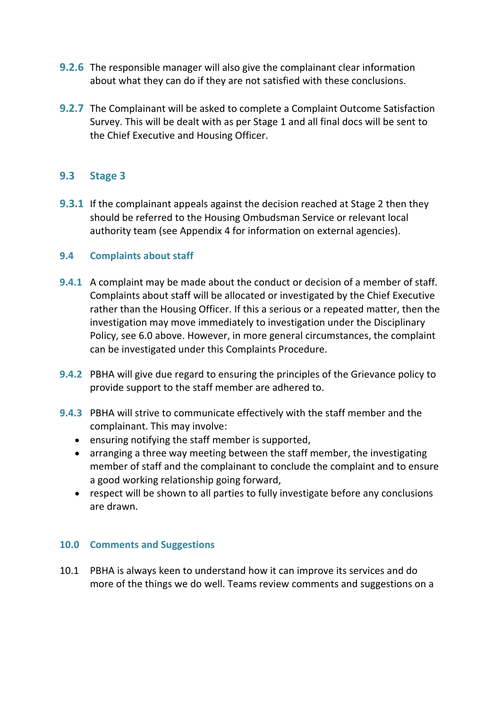- **9.2.6** The responsible manager will also give the complainant clear information about what they can do if they are not satisfied with these conclusions.
- **9.2.7** The Complainant will be asked to complete a Complaint Outcome Satisfaction Survey. This will be dealt with as per Stage 1 and all final docs will be sent to the Chief Executive and Housing Officer.

#### **9.3 Stage 3**

**9.3.1** If the complainant appeals against the decision reached at Stage 2 then they should be referred to the Housing Ombudsman Service or relevant local authority team (see Appendix 4 for information on external agencies).

#### **9.4 Complaints about staff**

- **9.4.1** A complaint may be made about the conduct or decision of a member of staff. Complaints about staff will be allocated or investigated by the Chief Executive rather than the Housing Officer. If this a serious or a repeated matter, then the investigation may move immediately to investigation under the Disciplinary Policy, see 6.0 above. However, in more general circumstances, the complaint can be investigated under this Complaints Procedure.
- **9.4.2** PBHA will give due regard to ensuring the principles of the Grievance policy to provide support to the staff member are adhered to.
- **9.4.3** PBHA will strive to communicate effectively with the staff member and the complainant. This may involve:
	- ensuring notifying the staff member is supported,
	- arranging a three way meeting between the staff member, the investigating member of staff and the complainant to conclude the complaint and to ensure a good working relationship going forward,
	- respect will be shown to all parties to fully investigate before any conclusions are drawn.

#### **10.0 Comments and Suggestions**

10.1 PBHA is always keen to understand how it can improve its services and do more of the things we do well. Teams review comments and suggestions on a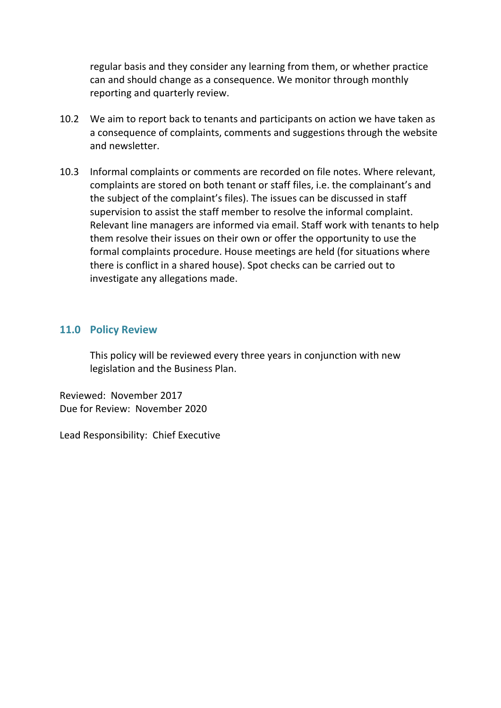regular basis and they consider any learning from them, or whether practice can and should change as a consequence. We monitor through monthly reporting and quarterly review.

- 10.2 We aim to report back to tenants and participants on action we have taken as a consequence of complaints, comments and suggestions through the website and newsletter.
- 10.3 Informal complaints or comments are recorded on file notes. Where relevant, complaints are stored on both tenant or staff files, i.e. the complainant's and the subject of the complaint's files). The issues can be discussed in staff supervision to assist the staff member to resolve the informal complaint. Relevant line managers are informed via email. Staff work with tenants to help them resolve their issues on their own or offer the opportunity to use the formal complaints procedure. House meetings are held (for situations where there is conflict in a shared house). Spot checks can be carried out to investigate any allegations made.

#### **11.0 Policy Review**

This policy will be reviewed every three years in conjunction with new legislation and the Business Plan.

Reviewed: November 2017 Due for Review: November 2020

Lead Responsibility: Chief Executive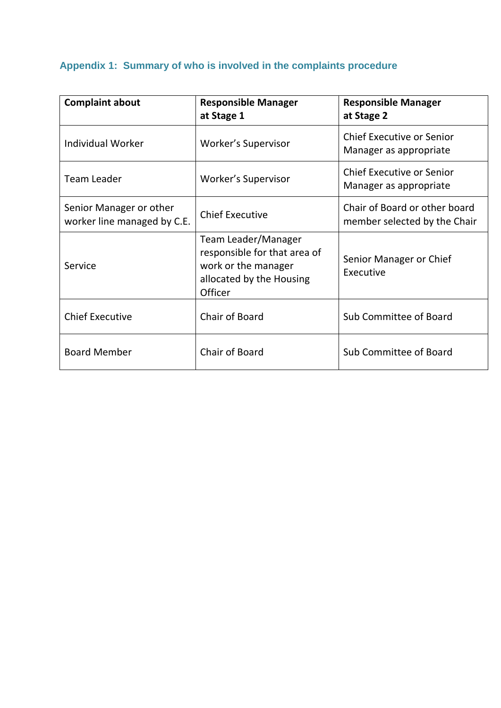# **Appendix 1: Summary of who is involved in the complaints procedure**

| <b>Complaint about</b>                                 | <b>Responsible Manager</b><br>at Stage 1                                                                          | <b>Responsible Manager</b><br>at Stage 2                      |
|--------------------------------------------------------|-------------------------------------------------------------------------------------------------------------------|---------------------------------------------------------------|
| <b>Individual Worker</b>                               | Worker's Supervisor                                                                                               | <b>Chief Executive or Senior</b><br>Manager as appropriate    |
| <b>Team Leader</b>                                     | Worker's Supervisor                                                                                               | <b>Chief Executive or Senior</b><br>Manager as appropriate    |
| Senior Manager or other<br>worker line managed by C.E. | <b>Chief Executive</b>                                                                                            | Chair of Board or other board<br>member selected by the Chair |
| Service                                                | Team Leader/Manager<br>responsible for that area of<br>work or the manager<br>allocated by the Housing<br>Officer | Senior Manager or Chief<br>Executive                          |
| <b>Chief Executive</b>                                 | Chair of Board                                                                                                    | Sub Committee of Board                                        |
| <b>Board Member</b>                                    | Chair of Board                                                                                                    | Sub Committee of Board                                        |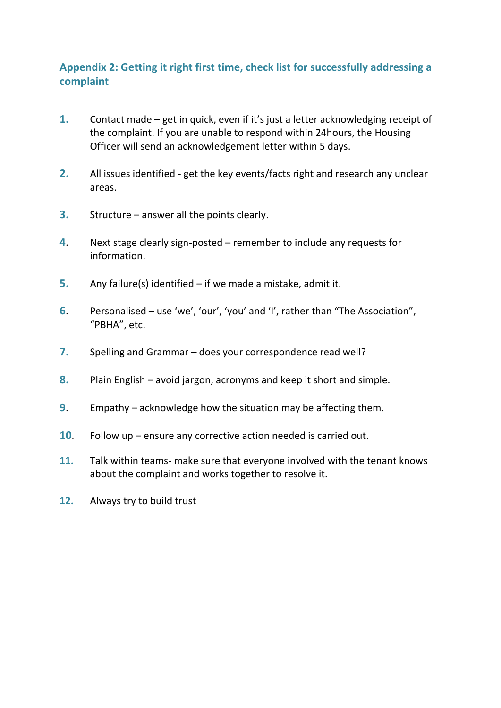### **Appendix 2: Getting it right first time, check list for successfully addressing a complaint**

- **1.** Contact made get in quick, even if it's just a letter acknowledging receipt of the complaint. If you are unable to respond within 24hours, the Housing Officer will send an acknowledgement letter within 5 days.
- **2.** All issues identified get the key events/facts right and research any unclear areas.
- **3.** Structure answer all the points clearly.
- **4**. Next stage clearly sign-posted remember to include any requests for information.
- **5.** Any failure(s) identified if we made a mistake, admit it.
- **6**. Personalised use 'we', 'our', 'you' and 'I', rather than "The Association", "PBHA", etc.
- **7.** Spelling and Grammar does your correspondence read well?
- **8.** Plain English avoid jargon, acronyms and keep it short and simple.
- **9**. Empathy acknowledge how the situation may be affecting them.
- **10**. Follow up ensure any corrective action needed is carried out.
- **11.** Talk within teams- make sure that everyone involved with the tenant knows about the complaint and works together to resolve it.
- **12.** Always try to build trust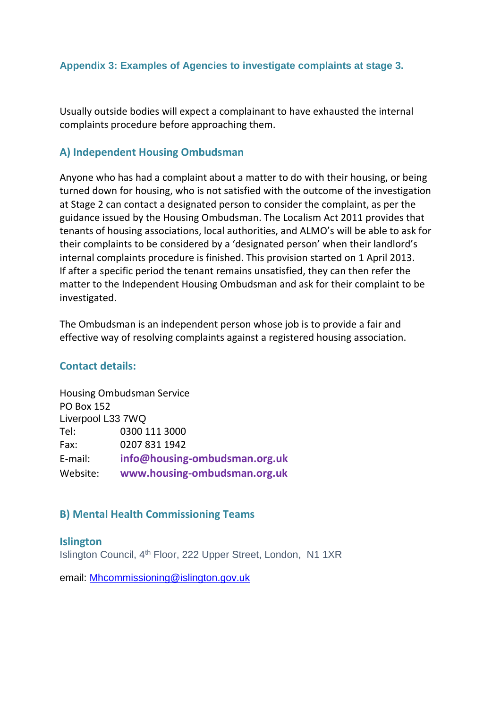#### **Appendix 3: Examples of Agencies to investigate complaints at stage 3.**

Usually outside bodies will expect a complainant to have exhausted the internal complaints procedure before approaching them.

#### **A) Independent Housing Ombudsman**

Anyone who has had a complaint about a matter to do with their housing, or being turned down for housing, who is not satisfied with the outcome of the investigation at Stage 2 can contact a designated person to consider the complaint, as per the guidance issued by the Housing Ombudsman. The Localism Act 2011 provides that tenants of housing associations, local authorities, and ALMO's will be able to ask for their complaints to be considered by a 'designated person' when their landlord's internal complaints procedure is finished. This provision started on 1 April 2013. If after a specific period the tenant remains unsatisfied, they can then refer the matter to the Independent Housing Ombudsman and ask for their complaint to be investigated.

The Ombudsman is an independent person whose job is to provide a fair and effective way of resolving complaints against a registered housing association.

#### **Contact details:**

Housing Ombudsman Service PO Box 152 Liverpool L33 7WQ Tel: 0300 111 3000 Fax: 0207 831 1942 E-mail: **info@housing-ombudsman.org.uk** Website: **www.housing-ombudsman.org.uk**

#### **B) Mental Health Commissioning Teams**

**Islington** Islington Council, 4th Floor, 222 Upper Street, London, N1 1XR

email: [Mhcommissioning@islington.gov.uk](mailto:Mhcommissioning@islington.gov.uk)